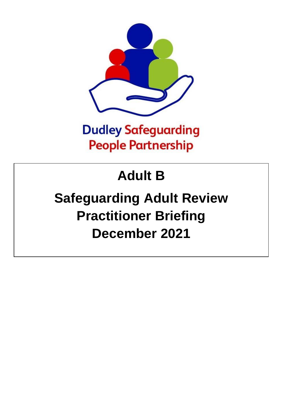

## **Dudley Safeguarding People Partnership**

## **Adult B**

# **Safeguarding Adult Review Practitioner Briefing December 2021**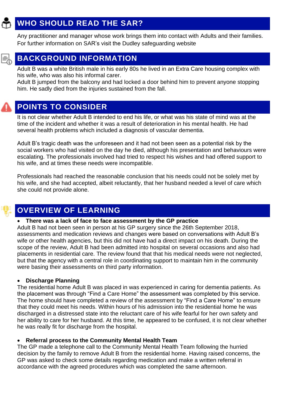## **WHO SHOULD READ THE SAR?**

Any practitioner and manager whose work brings them into contact with Adults and their families. For further information on SAR's visit the Dudley safeguarding website



## **BACKGROUND INFORMATION**

Adult B was a white British male in his early 80s he lived in an Extra Care housing complex with his wife, who was also his informal carer.

Adult B jumped from the balcony and had locked a door behind him to prevent anyone stopping him. He sadly died from the injuries sustained from the fall.



### **POINTS TO CONSIDER**

It is not clear whether Adult B intended to end his life, or what was his state of mind was at the time of the incident and whether it was a result of deterioration in his mental health. He had several health problems which included a diagnosis of vascular dementia.

Adult B's tragic death was the unforeseen and it had not been seen as a potential risk by the social workers who had visited on the day he died, although his presentation and behaviours were escalating. The professionals involved had tried to respect his wishes and had offered support to his wife, and at times these needs were incompatible.

Professionals had reached the reasonable conclusion that his needs could not be solely met by his wife, and she had accepted, albeit reluctantly, that her husband needed a level of care which she could not provide alone.

## **OVERVIEW OF LEARNING**

#### • **There was a lack of face to face assessment by the GP practice**

Adult B had not been seen in person at his GP surgery since the 26th September 2018, assessments and medication reviews and changes were based on conversations with Adult B's wife or other health agencies, but this did not have had a direct impact on his death. During the scope of the review, Adult B had been admitted into hospital on several occasions and also had placements in residential care. The review found that that his medical needs were not neglected, but that the agency with a central role in coordinating support to maintain him in the community were basing their assessments on third party information.

#### • **Discharge Planning**

The residential home Adult B was placed in was experienced in caring for dementia patients. As the placement was through "Find a Care Home" the assessment was completed by this service. The home should have completed a review of the assessment by "Find a Care Home" to ensure that they could meet his needs. Within hours of his admission into the residential home he was discharged in a distressed state into the reluctant care of his wife fearful for her own safety and her ability to care for her husband. At this time, he appeared to be confused, it is not clear whether he was really fit for discharge from the hospital.

#### • **Referral process to the Community Mental Health Team**

The GP made a telephone call to the Community Mental Health Team following the hurried decision by the family to remove Adult B from the residential home. Having raised concerns, the GP was asked to check some details regarding medication and make a written referral in accordance with the agreed procedures which was completed the same afternoon.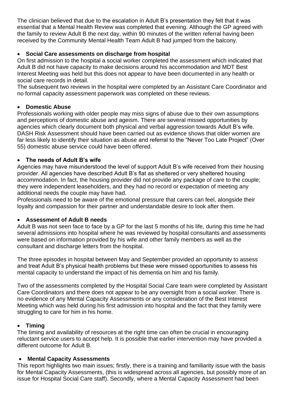The clinician believed that due to the escalation in Adult B's presentation they felt that it was essential that a Mental Health Review was completed that evening. Although the GP agreed with the family to review Adult B the next day, within 90 minutes of the written referral having been received by the Community Mental Health Team Adult B had jumped from the balcony.

#### • **Social Care assessments on discharge from hospital**

On first admission to the hospital a social worker completed the assessment which indicated that Adult B did not have capacity to make decisions around his accommodation and MDT Best Interest Meeting was held but this does not appear to have been documented in any health or social care records in detail.

The subsequent two reviews in the hospital were completed by an Assistant Care Coordinator and no formal capacity assessment paperwork was completed on these reviews.

#### • **Domestic Abuse**

Professionals working with older people may miss signs of abuse due to their own assumptions and perceptions of domestic abuse and ageism. There are several missed opportunities by agencies which clearly document both physical and verbal aggression towards Adult B's wife. DASH Risk Assessment should have been carried out as evidence shows that older women are far less likely to identify their situation as abuse and referral to the "Never Too Late Project" (Over 55) domestic abuse service could have been offered.

#### • **The needs of Adult B's wife**

Agencies may have misunderstood the level of support Adult B's wife received from their housing provider. All agencies have described Adult B's flat as sheltered or very sheltered housing accommodation. In fact, the housing provider did not provide any package of care to the couple; they were independent leaseholders, and they had no record or expectation of meeting any additional needs the couple may have had.

Professionals need to be aware of the emotional pressure that carers can feel, alongside their loyalty and compassion for their partner and understandable desire to look after them.

#### • **Assessment of Adult B needs**

Adult B was not seen face to face by a GP for the last 5 months of his life, during this time he had several admissions into hospital where he was reviewed by hospital consultants and assessments were based on information provided by his wife and other family members as well as the consultant and discharge letters from the hospital.

The three episodes in hospital between May and September provided an opportunity to assess and treat Adult B's physical health problems but these were missed opportunities to assess his mental capacity to understand the impact of his dementia on him and his family.

Two of the assessments completed by the Hospital Social Care team were completed by Assistant Care Coordinators and there does not appear to be any oversight from a social worker. There is no evidence of any Mental Capacity Assessments or any consideration of the Best Interest Meeting which was held during his first admission into hospital and the fact that they family were struggling to care for him in his home.

#### • **Timing**

The timing and availability of resources at the right time can often be crucial in encouraging reluctant service users to accept help. It is possible that earlier intervention may have provided a different outcome for Adult B.

#### • **Mental Capacity Assessments**

This report highlights two main issues; firstly, there is a training and familiarity issue with the basis for Mental Capacity Assessments, (this is widespread across all agencies, but possibly more of an issue for Hospital Social Care staff). Secondly, where a Mental Capacity Assessment had been